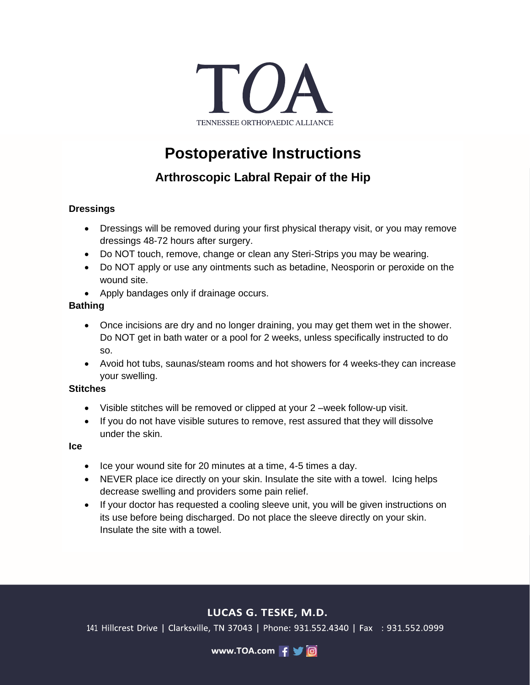

# **Postoperative Instructions**

# **Arthroscopic Labral Repair of the Hip**

# **Dressings**

- Dressings will be removed during your first physical therapy visit, or you may remove dressings 48-72 hours after surgery.
- Do NOT touch, remove, change or clean any Steri-Strips you may be wearing.
- Do NOT apply or use any ointments such as betadine, Neosporin or peroxide on the wound site.
- Apply bandages only if drainage occurs.

# **Bathing**

- Once incisions are dry and no longer draining, you may get them wet in the shower. Do NOT get in bath water or a pool for 2 weeks, unless specifically instructed to do so.
- Avoid hot tubs, saunas/steam rooms and hot showers for 4 weeks-they can increase your swelling.

### **Stitches**

- Visible stitches will be removed or clipped at your 2 –week follow-up visit.
- If you do not have visible sutures to remove, rest assured that they will dissolve under the skin.

### **Ice**

- Ice your wound site for 20 minutes at a time, 4-5 times a day.
- NEVER place ice directly on your skin. Insulate the site with a towel. Icing helps decrease swelling and providers some pain relief.
- If your doctor has requested a cooling sleeve unit, you will be given instructions on its use before being discharged. Do not place the sleeve directly on your skin. Insulate the site with a towel.

# LUCAS G. TESKE, M.D.

141 Hillcrest Drive | Clarksville, TN 37043 | Phone: 931.552.4340 | Fax : 931.552.0999